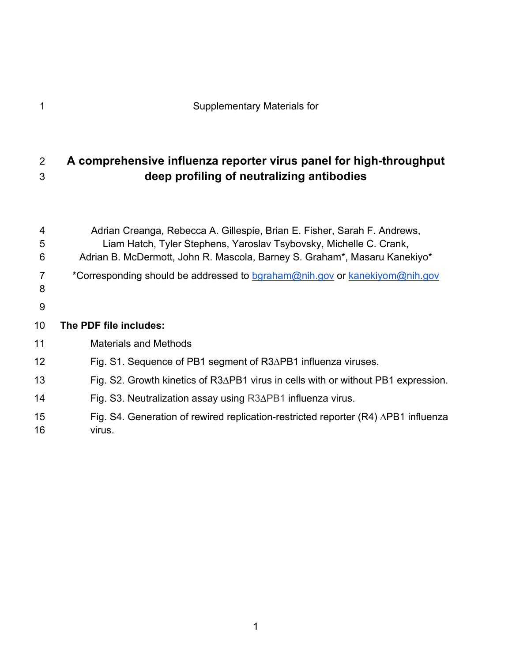# **A comprehensive influenza reporter virus panel for high-throughput deep profiling of neutralizing antibodies**

| 4<br>5<br>6     | Adrian Creanga, Rebecca A. Gillespie, Brian E. Fisher, Sarah F. Andrews,<br>Liam Hatch, Tyler Stephens, Yaroslav Tsybovsky, Michelle C. Crank,<br>Adrian B. McDermott, John R. Mascola, Barney S. Graham*, Masaru Kanekiyo* |
|-----------------|-----------------------------------------------------------------------------------------------------------------------------------------------------------------------------------------------------------------------------|
| 7<br>8          | *Corresponding should be addressed to bgraham@nih.gov or kanekiyom@nih.gov                                                                                                                                                  |
| 9               |                                                                                                                                                                                                                             |
| 10 <sup>°</sup> | The PDF file includes:                                                                                                                                                                                                      |
| 11              | <b>Materials and Methods</b>                                                                                                                                                                                                |
| 12              | Fig. S1. Sequence of PB1 segment of R3∆PB1 influenza viruses.                                                                                                                                                               |
| 13              | Fig. S2. Growth kinetics of $R3\Delta$ PB1 virus in cells with or without PB1 expression.                                                                                                                                   |
| 14              | Fig. S3. Neutralization assay using R3 $\Delta$ PB1 influenza virus.                                                                                                                                                        |
| 15<br>16        | Fig. S4. Generation of rewired replication-restricted reporter $(R4)$ $\triangle$ PB1 influenza<br>virus.                                                                                                                   |
|                 |                                                                                                                                                                                                                             |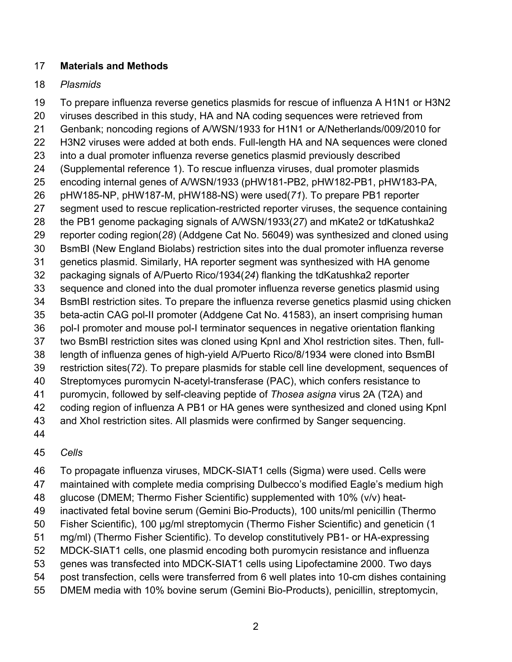#### **Materials and Methods**

#### *Plasmids*

 To prepare influenza reverse genetics plasmids for rescue of influenza A H1N1 or H3N2 viruses described in this study, HA and NA coding sequences were retrieved from Genbank; noncoding regions of A/WSN/1933 for H1N1 or A/Netherlands/009/2010 for H3N2 viruses were added at both ends. Full-length HA and NA sequences were cloned into a dual promoter influenza reverse genetics plasmid previously described (Supplemental reference 1). To rescue influenza viruses, dual promoter plasmids encoding internal genes of A/WSN/1933 (pHW181-PB2, pHW182-PB1, pHW183-PA, pHW185-NP, pHW187-M, pHW188-NS) were used(*71*). To prepare PB1 reporter segment used to rescue replication-restricted reporter viruses, the sequence containing the PB1 genome packaging signals of A/WSN/1933(*27*) and mKate2 or tdKatushka2 reporter coding region(*28*) (Addgene Cat No. 56049) was synthesized and cloned using BsmBI (New England Biolabs) restriction sites into the dual promoter influenza reverse genetics plasmid. Similarly, HA reporter segment was synthesized with HA genome packaging signals of A/Puerto Rico/1934(*24*) flanking the tdKatushka2 reporter sequence and cloned into the dual promoter influenza reverse genetics plasmid using BsmBI restriction sites. To prepare the influenza reverse genetics plasmid using chicken beta-actin CAG pol-II promoter (Addgene Cat No. 41583), an insert comprising human pol-I promoter and mouse pol-I terminator sequences in negative orientation flanking two BsmBI restriction sites was cloned using KpnI and XhoI restriction sites. Then, full- length of influenza genes of high-yield A/Puerto Rico/8/1934 were cloned into BsmBI restriction sites(*72*). To prepare plasmids for stable cell line development, sequences of Streptomyces puromycin N-acetyl-transferase (PAC), which confers resistance to puromycin, followed by self-cleaving peptide of *Thosea asigna* virus 2A (T2A) and coding region of influenza A PB1 or HA genes were synthesized and cloned using KpnI and XhoI restriction sites. All plasmids were confirmed by Sanger sequencing.

#### *Cells*

To propagate influenza viruses, MDCK-SIAT1 cells (Sigma) were used. Cells were

maintained with complete media comprising Dulbecco's modified Eagle's medium high

glucose (DMEM; Thermo Fisher Scientific) supplemented with 10% (v/v) heat-

- inactivated fetal bovine serum (Gemini Bio-Products), 100 units/ml penicillin (Thermo
- Fisher Scientific), 100 μg/ml streptomycin (Thermo Fisher Scientific) and geneticin (1
- mg/ml) (Thermo Fisher Scientific). To develop constitutively PB1- or HA-expressing
- MDCK-SIAT1 cells, one plasmid encoding both puromycin resistance and influenza
- genes was transfected into MDCK-SIAT1 cells using Lipofectamine 2000. Two days
- post transfection, cells were transferred from 6 well plates into 10-cm dishes containing
- DMEM media with 10% bovine serum (Gemini Bio-Products), penicillin, streptomycin,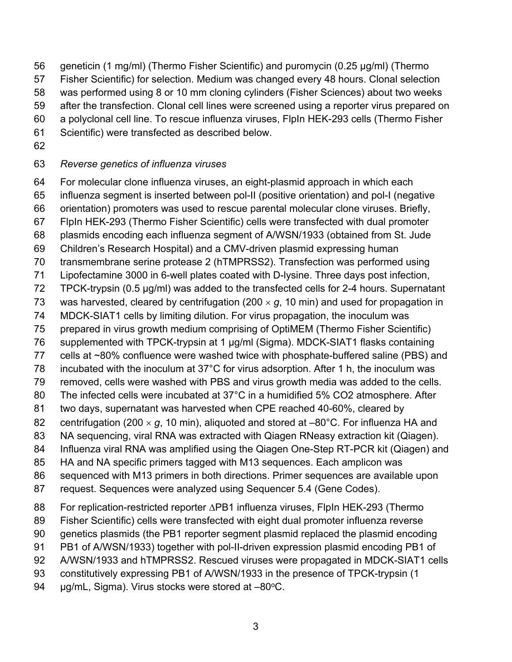- geneticin (1 mg/ml) (Thermo Fisher Scientific) and puromycin (0.25 μg/ml) (Thermo
- Fisher Scientific) for selection. Medium was changed every 48 hours. Clonal selection
- was performed using 8 or 10 mm cloning cylinders (Fisher Sciences) about two weeks
- after the transfection. Clonal cell lines were screened using a reporter virus prepared on
- a polyclonal cell line. To rescue influenza viruses, FlpIn HEK-293 cells (Thermo Fisher
- Scientific) were transfected as described below.
- 

## *Reverse genetics of influenza viruses*

- For molecular clone influenza viruses, an eight-plasmid approach in which each
- influenza segment is inserted between pol-II (positive orientation) and pol-I (negative
- orientation) promoters was used to rescue parental molecular clone viruses. Briefly,
- FlpIn HEK-293 (Thermo Fisher Scientific) cells were transfected with dual promoter
- plasmids encoding each influenza segment of A/WSN/1933 (obtained from St. Jude
- Children's Research Hospital) and a CMV-driven plasmid expressing human
- transmembrane serine protease 2 (hTMPRSS2). Transfection was performed using
- Lipofectamine 3000 in 6-well plates coated with D-lysine. Three days post infection,
- TPCK-trypsin (0.5 μg/ml) was added to the transfected cells for 2-4 hours. Supernatant
- 73 was harvested, cleared by centrifugation (200  $\times$  g, 10 min) and used for propagation in
- MDCK-SIAT1 cells by limiting dilution. For virus propagation, the inoculum was
- prepared in virus growth medium comprising of OptiMEM (Thermo Fisher Scientific)
- supplemented with TPCK-trypsin at 1 μg/ml (Sigma). MDCK-SIAT1 flasks containing
- cells at ~80% confluence were washed twice with phosphate-buffered saline (PBS) and
- incubated with the inoculum at 37°C for virus adsorption. After 1 h, the inoculum was
- removed, cells were washed with PBS and virus growth media was added to the cells.
- 80 The infected cells were incubated at 37°C in a humidified 5% CO2 atmosphere. After
- two days, supernatant was harvested when CPE reached 40-60%, cleared by
- 82 centrifugation (200  $\times$  g, 10 min), aliquoted and stored at  $-80^{\circ}$ C. For influenza HA and
- NA sequencing, viral RNA was extracted with Qiagen RNeasy extraction kit (Qiagen).
- Influenza viral RNA was amplified using the Qiagen One-Step RT-PCR kit (Qiagen) and
- HA and NA specific primers tagged with M13 sequences. Each amplicon was
- sequenced with M13 primers in both directions. Primer sequences are available upon
- request. Sequences were analyzed using Sequencer 5.4 (Gene Codes).
- For replication-restricted reporter ∆PB1 influenza viruses, FlpIn HEK-293 (Thermo
- Fisher Scientific) cells were transfected with eight dual promoter influenza reverse
- genetics plasmids (the PB1 reporter segment plasmid replaced the plasmid encoding
- PB1 of A/WSN/1933) together with pol-II-driven expression plasmid encoding PB1 of
- A/WSN/1933 and hTMPRSS2. Rescued viruses were propagated in MDCK-SIAT1 cells
- constitutively expressing PB1 of A/WSN/1933 in the presence of TPCK-trypsin (1
- 94  $\mu$ g/mL, Sigma). Virus stocks were stored at  $-80^{\circ}$ C.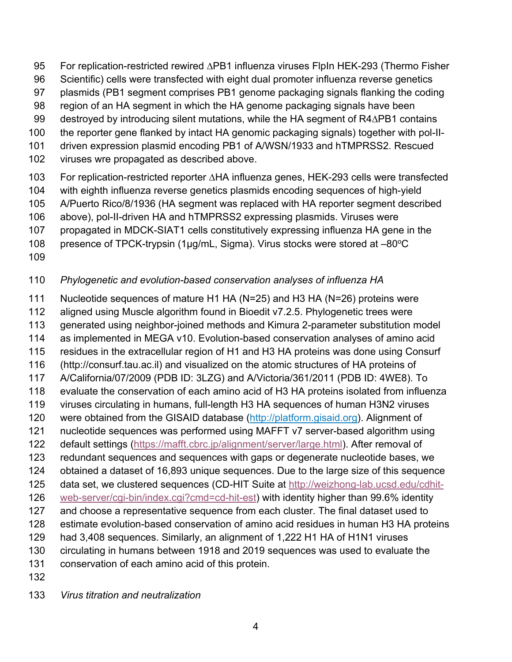For replication-restricted rewired ∆PB1 influenza viruses FlpIn HEK-293 (Thermo Fisher

- Scientific) cells were transfected with eight dual promoter influenza reverse genetics
- plasmids (PB1 segment comprises PB1 genome packaging signals flanking the coding
- region of an HA segment in which the HA genome packaging signals have been
- destroyed by introducing silent mutations, while the HA segment of R4∆PB1 contains
- the reporter gene flanked by intact HA genomic packaging signals) together with pol-II-
- driven expression plasmid encoding PB1 of A/WSN/1933 and hTMPRSS2. Rescued
- viruses wre propagated as described above.
- For replication-restricted reporter ∆HA influenza genes, HEK-293 cells were transfected
- with eighth influenza reverse genetics plasmids encoding sequences of high-yield
- A/Puerto Rico/8/1936 (HA segment was replaced with HA reporter segment described
- above), pol-II-driven HA and hTMPRSS2 expressing plasmids. Viruses were
- propagated in MDCK-SIAT1 cells constitutively expressing influenza HA gene in the
- 108 presence of TPCK-trypsin (1µg/mL, Sigma). Virus stocks were stored at  $-80^{\circ}$ C
- 

# *Phylogenetic and evolution-based conservation analyses of influenza HA*

- Nucleotide sequences of mature H1 HA (N=25) and H3 HA (N=26) proteins were
- aligned using Muscle algorithm found in Bioedit v7.2.5. Phylogenetic trees were
- generated using neighbor-joined methods and Kimura 2-parameter substitution model
- as implemented in MEGA v10. Evolution-based conservation analyses of amino acid
- residues in the extracellular region of H1 and H3 HA proteins was done using Consurf
- (http://consurf.tau.ac.il) and visualized on the atomic structures of HA proteins of
- A/California/07/2009 (PDB ID: 3LZG) and A/Victoria/361/2011 (PDB ID: 4WE8). To evaluate the conservation of each amino acid of H3 HA proteins isolated from influenza
- viruses circulating in humans, full-length H3 HA sequences of human H3N2 viruses
- 120 were obtained from the GISAID database (http://platform.gisaid.org). Alignment of
- nucleotide sequences was performed using MAFFT v7 server-based algorithm using
- default settings (https://mafft.cbrc.jp/alignment/server/large.html). After removal of
- redundant sequences and sequences with gaps or degenerate nucleotide bases, we
- obtained a dataset of 16,893 unique sequences. Due to the large size of this sequence
- data set, we clustered sequences (CD-HIT Suite at http://weizhong-lab.ucsd.edu/cdhit-
- web-server/cgi-bin/index.cgi?cmd=cd-hit-est) with identity higher than 99.6% identity
- and choose a representative sequence from each cluster. The final dataset used to
- estimate evolution-based conservation of amino acid residues in human H3 HA proteins
- had 3,408 sequences. Similarly, an alignment of 1,222 H1 HA of H1N1 viruses
- circulating in humans between 1918 and 2019 sequences was used to evaluate the
- conservation of each amino acid of this protein.
- 
- *Virus titration and neutralization*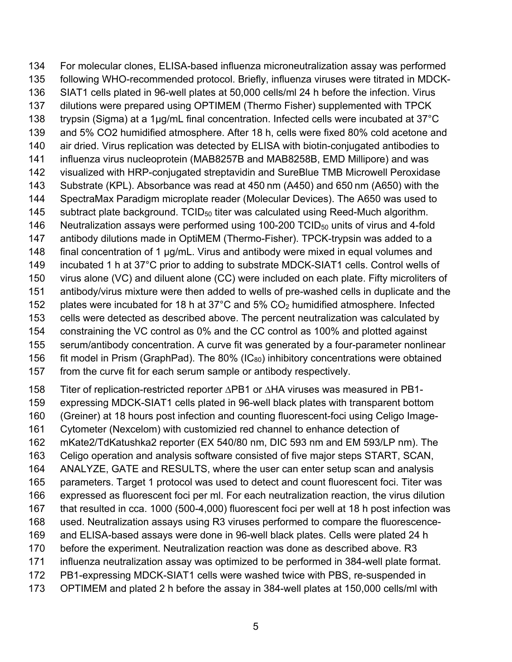For molecular clones, ELISA-based influenza microneutralization assay was performed following WHO-recommended protocol. Briefly, influenza viruses were titrated in MDCK- SIAT1 cells plated in 96-well plates at 50,000 cells/ml 24 h before the infection. Virus dilutions were prepared using OPTIMEM (Thermo Fisher) supplemented with TPCK 138 trypsin (Sigma) at a 1µg/mL final concentration. Infected cells were incubated at 37°C and 5% CO2 humidified atmosphere. After 18 h, cells were fixed 80% cold acetone and air dried. Virus replication was detected by ELISA with biotin-conjugated antibodies to influenza virus nucleoprotein (MAB8257B and MAB8258B, EMD Millipore) and was visualized with HRP-conjugated streptavidin and SureBlue TMB Microwell Peroxidase Substrate (KPL). Absorbance was read at 450 nm (A450) and 650 nm (A650) with the SpectraMax Paradigm microplate reader (Molecular Devices). The A650 was used to 145 subtract plate background. TCID $_{50}$  titer was calculated using Reed-Much algorithm. 146 Neutralization assays were performed using 100-200 TCID $_{50}$  units of virus and 4-fold antibody dilutions made in OptiMEM (Thermo-Fisher). TPCK-trypsin was added to a final concentration of 1 μg/mL. Virus and antibody were mixed in equal volumes and incubated 1 h at 37°C prior to adding to substrate MDCK-SIAT1 cells. Control wells of virus alone (VC) and diluent alone (CC) were included on each plate. Fifty microliters of antibody/virus mixture were then added to wells of pre-washed cells in duplicate and the plates were incubated for 18 h at 37°C and 5% CO2 humidified atmosphere. Infected cells were detected as described above. The percent neutralization was calculated by constraining the VC control as 0% and the CC control as 100% and plotted against serum/antibody concentration. A curve fit was generated by a four-parameter nonlinear 156 fit model in Prism (GraphPad). The 80% ( $IC_{80}$ ) inhibitory concentrations were obtained from the curve fit for each serum sample or antibody respectively.

Titer of replication-restricted reporter ∆PB1 or ∆HA viruses was measured in PB1-

expressing MDCK-SIAT1 cells plated in 96-well black plates with transparent bottom

(Greiner) at 18 hours post infection and counting fluorescent-foci using Celigo Image-

Cytometer (Nexcelom) with customizied red channel to enhance detection of

- mKate2/TdKatushka2 reporter (EX 540/80 nm, DIC 593 nm and EM 593/LP nm). The
- Celigo operation and analysis software consisted of five major steps START, SCAN,

ANALYZE, GATE and RESULTS, where the user can enter setup scan and analysis

parameters. Target 1 protocol was used to detect and count fluorescent foci. Titer was

expressed as fluorescent foci per ml. For each neutralization reaction, the virus dilution

that resulted in cca. 1000 (500-4,000) fluorescent foci per well at 18 h post infection was

- used. Neutralization assays using R3 viruses performed to compare the fluorescence-
- and ELISA-based assays were done in 96-well black plates. Cells were plated 24 h
- before the experiment. Neutralization reaction was done as described above. R3
- influenza neutralization assay was optimized to be performed in 384-well plate format.
- PB1-expressing MDCK-SIAT1 cells were washed twice with PBS, re-suspended in
- OPTIMEM and plated 2 h before the assay in 384-well plates at 150,000 cells/ml with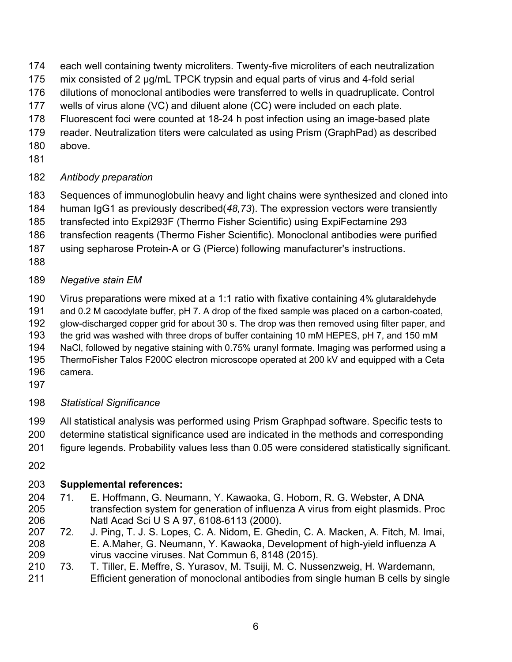- each well containing twenty microliters. Twenty-five microliters of each neutralization
- mix consisted of 2 μg/mL TPCK trypsin and equal parts of virus and 4-fold serial
- dilutions of monoclonal antibodies were transferred to wells in quadruplicate. Control
- wells of virus alone (VC) and diluent alone (CC) were included on each plate.
- Fluorescent foci were counted at 18-24 h post infection using an image-based plate
- reader. Neutralization titers were calculated as using Prism (GraphPad) as described
- above.
- 

## *Antibody preparation*

- Sequences of immunoglobulin heavy and light chains were synthesized and cloned into
- human IgG1 as previously described(*48,73*). The expression vectors were transiently
- transfected into Expi293F (Thermo Fisher Scientific) using ExpiFectamine 293
- transfection reagents (Thermo Fisher Scientific). Monoclonal antibodies were purified
- using sepharose Protein-A or G (Pierce) following manufacturer's instructions.
- 
- *Negative stain EM*
- Virus preparations were mixed at a 1:1 ratio with fixative containing 4% glutaraldehyde
- and 0.2 M cacodylate buffer, pH 7. A drop of the fixed sample was placed on a carbon-coated,
- glow-discharged copper grid for about 30 s. The drop was then removed using filter paper, and
- the grid was washed with three drops of buffer containing 10 mM HEPES, pH 7, and 150 mM
- NaCl, followed by negative staining with 0.75% uranyl formate. Imaging was performed using a
- ThermoFisher Talos F200C electron microscope operated at 200 kV and equipped with a Ceta camera.
- 
- *Statistical Significance*
- All statistical analysis was performed using Prism Graphpad software. Specific tests to
- determine statistical significance used are indicated in the methods and corresponding
- figure legends. Probability values less than 0.05 were considered statistically significant.
- 

## **Supplemental references:**

- 71. E. Hoffmann, G. Neumann, Y. Kawaoka, G. Hobom, R. G. Webster, A DNA transfection system for generation of influenza A virus from eight plasmids. Proc Natl Acad Sci U S A 97, 6108-6113 (2000).
- 72. J. Ping, T. J. S. Lopes, C. A. Nidom, E. Ghedin, C. A. Macken, A. Fitch, M. Imai, E. A.Maher, G. Neumann, Y. Kawaoka, Development of high-yield influenza A virus vaccine viruses. Nat Commun 6, 8148 (2015).
- 73. T. Tiller, E. Meffre, S. Yurasov, M. Tsuiji, M. C. Nussenzweig, H. Wardemann, Efficient generation of monoclonal antibodies from single human B cells by single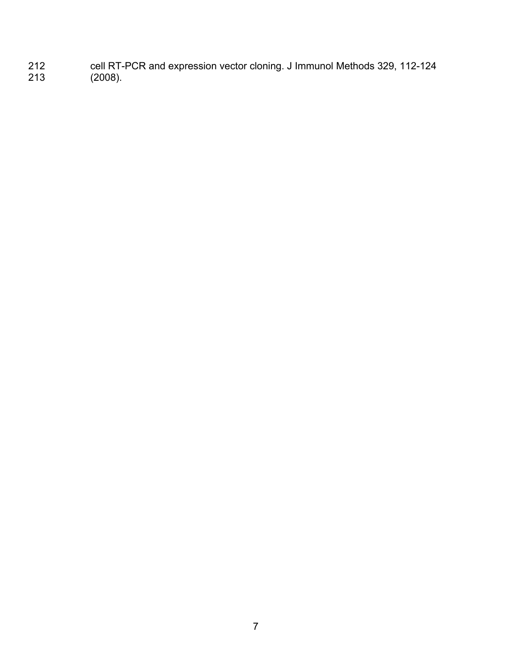cell RT-PCR and expression vector cloning. J Immunol Methods 329, 112-124 (2008).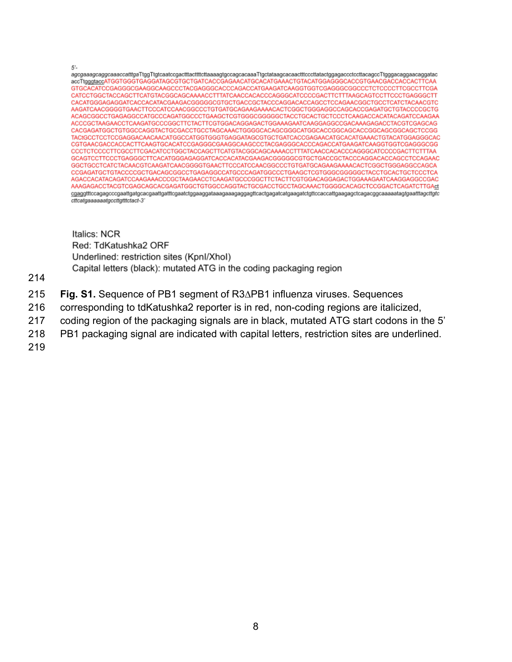$5'$ -accTtgggtaccATGGTGGGTGAGGATAGCGTGCTGATCACCGAGAACATGCACATGAAACTGTACATGGAGGGCACCGTGAACGACCACTCCAC GTGCACATCCGAGGGCGAAGGCAAGCCCTACGAGGGCACCCAGACCATGAAGATCAAGGTGGTCGAGGGCGGCCCTCTCCCCTTCGCCTTCGA CATCCTGGCTACCAGCTTCATGTACGGCAGCAAAACCTTTATCAACCACACCCAGGGCATCCCCGACTTCTTTAAGCAGTCCTTCCCTGAGGGCTT CACATGGGAGAGGATCACCACATACGAAGACGGGGGCGTGCTGACCGCTACCCAGGACACCAGCCTCCAGAACGGCTGCCTCATCTACAACGTC AAGATCAACGGGGTGAACTTCCCATCCAACGGCCCTGTGATGCAGAAGAAAACACTCGGCTGGGAGGCCAGCACCGAGATGCTGTACCCCGCTG ACAGCGGCCTGAGAGGCCATGCCCAGATGGCCCTGAAGCTCGTGGGCGGGGGCTACCTGCACTGCTCCCTCAAGACCACATACAGATCCAAGAA ACCCGCTAAGAACCTCAAGATGCCCGGCTTCTACTTCGTGGACAGGAGACTGGAAAGAATCAAGGAGGCCGACAAAGAGACCTACGTCGAGCAG CACGAGATGGCTGTGGCCAGGTACTGCGACCTGCCTAGCAAACTGGGGCACAGCGGCATGGCACCGGCAGCACCGGCAGCGGCAGCTCCGG TACtGCCTCCTCCGAGGACAACAACATGGCCATGGTGGGTGAGGATAGCGTGCTGATCACCGAGAACATGCACATGAAACTGTACATGGAGGGCAC CGTGAACGACCACCACTTCAAGTGCACATCCGAGGGCGAAGGCAAGCCCTACGAGGGCACCCAGACCATGAAGATCAAGGTGGTGGAGGGCGG CCCTCTCCCCTTCGCCTTCGACATCCTGGCTACCAGCTTCATGTACGGCAGCAAAACCTTTATCAACCACACCCAGGGCATCCCCGACTTCTTTAA GCAGTCCTTCCCTGAGGGCTTCACATGGGAGAGGATCACCACATACGAAGACGGGGGCGTGCTGACCGCTACCCAGGACACCAGCCTCCAGAAC GGCTGCCTCATCTACAACGTCAAGATCAACGGGGTGAACTTCCCATCCAACGGCCCTGTGATGCAGAAGAAAACACTCGGCTGGGAGGCCAGCA CCGAGATGCTGTACCCCGCTGACAGCGGCCTGAGAGGCCATGCCCAGATGGCCCTGAAGCTCGTGGGCGGGGGTACCTGCACTGCTCCCTCA AGACCACATACAGATCCAAGAAACCCGCTAAGAACCTCAAGATGCCCGGCTTCTACTTCGTGGACAGGAGACTGGAAAGAATCAAGGAGGCCGAC AAAGAGACCTACGTCGAGCAGCACGAGATGGCTGTGGCCAGGTACTGCGACCTGCCTAGCAAACTGGGGCACAGCTCCGGACTCAGATCTTGAct cttcatgaaaaaatgccttgtttctact-3'

Italics: NCR Red: TdKatushka2 ORF Underlined: restriction sites (Kpnl/Xhol) Capital letters (black): mutated ATG in the coding packaging region

214

- 215 **Fig. S1.** Sequence of PB1 segment of R3∆PB1 influenza viruses. Sequences
- 216 corresponding to tdKatushka2 reporter is in red, non-coding regions are italicized,
- 217 coding region of the packaging signals are in black, mutated ATG start codons in the 5'
- 218 PB1 packaging signal are indicated with capital letters, restriction sites are underlined.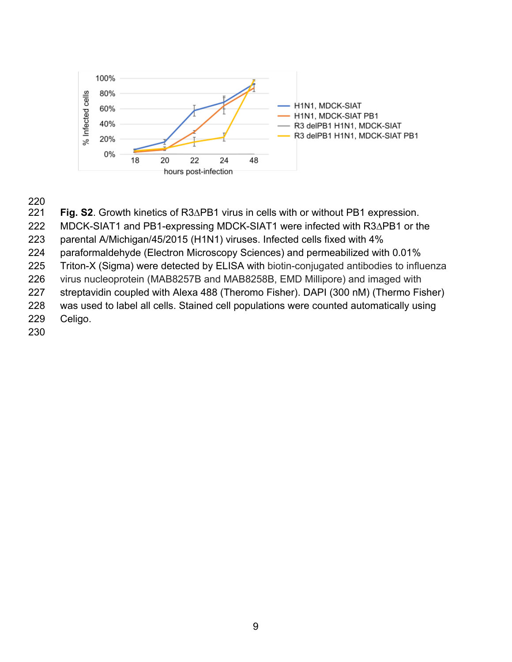

# 

Fig. S2. Growth kinetics of R3∆PB1 virus in cells with or without PB1 expression.

MDCK-SIAT1 and PB1-expressing MDCK-SIAT1 were infected with R3∆PB1 or the

parental A/Michigan/45/2015 (H1N1) viruses. Infected cells fixed with 4%

paraformaldehyde (Electron Microscopy Sciences) and permeabilized with 0.01%

Triton-X (Sigma) were detected by ELISA with biotin-conjugated antibodies to influenza

virus nucleoprotein (MAB8257B and MAB8258B, EMD Millipore) and imaged with

streptavidin coupled with Alexa 488 (Theromo Fisher). DAPI (300 nM) (Thermo Fisher)

 was used to label all cells. Stained cell populations were counted automatically using Celigo.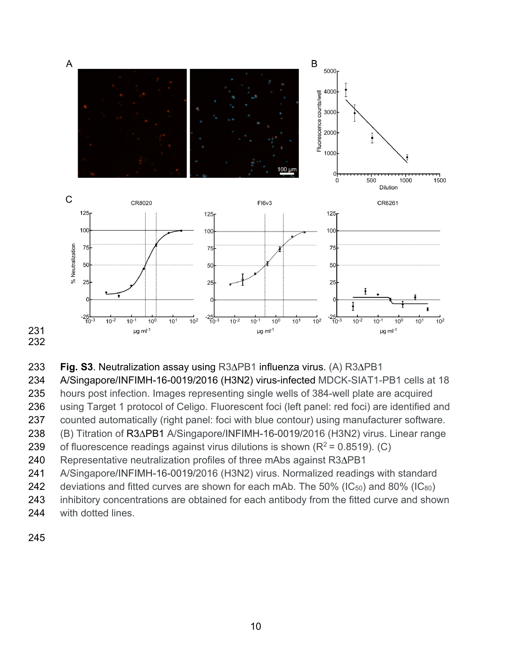





A/Singapore/INFIMH-16-0019/2016 (H3N2) virus-infected MDCK-SIAT1-PB1 cells at 18

hours post infection. Images representing single wells of 384-well plate are acquired

using Target 1 protocol of Celigo. Fluorescent foci (left panel: red foci) are identified and

counted automatically (right panel: foci with blue contour) using manufacturer software.

(B) Titration of R3∆PB1 A/Singapore/INFIMH-16-0019/2016 (H3N2) virus. Linear range

239 of fluorescence readings against virus dilutions is shown  $(R^2 = 0.8519)$ . (C)

Representative neutralization profiles of three mAbs against R3∆PB1

A/Singapore/INFIMH-16-0019/2016 (H3N2) virus. Normalized readings with standard

242 deviations and fitted curves are shown for each mAb. The  $50\%$  (IC<sub>50</sub>) and  $80\%$  (IC<sub>80</sub>)

243 inhibitory concentrations are obtained for each antibody from the fitted curve and shown

with dotted lines.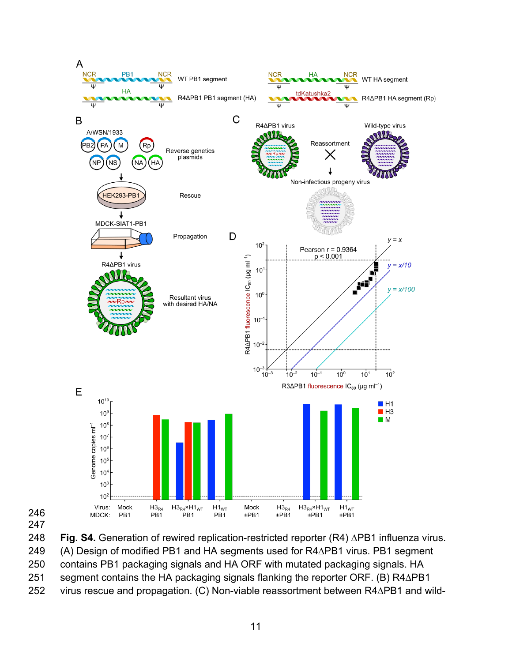



**Fig. S4.** Generation of rewired replication-restricted reporter (R4) ∆PB1 influenza virus.

(A) Design of modified PB1 and HA segments used for R4∆PB1 virus. PB1 segment

contains PB1 packaging signals and HA ORF with mutated packaging signals. HA

segment contains the HA packaging signals flanking the reporter ORF. (B) R4∆PB1

virus rescue and propagation. (C) Non-viable reassortment between R4∆PB1 and wild-